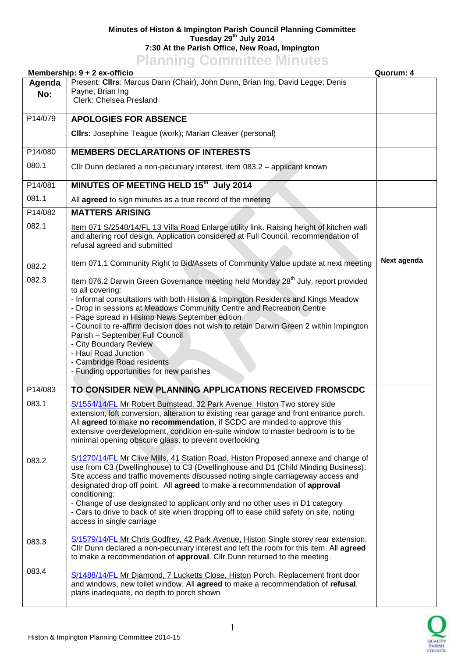## **Minutes of Histon & Impington Parish Council Planning Committee Tuesday 29th July 2014 7:30 At the Parish Office, New Road, Impington Planning Committee Minutes**

|               | $\blacksquare$<br><b>Communication</b> in the component<br>Membership: 9 + 2 ex-officio                                                                                                                                                                                                                                                                                                                                                                                                                                                                                                   | Quorum: 4   |
|---------------|-------------------------------------------------------------------------------------------------------------------------------------------------------------------------------------------------------------------------------------------------------------------------------------------------------------------------------------------------------------------------------------------------------------------------------------------------------------------------------------------------------------------------------------------------------------------------------------------|-------------|
| Agenda<br>No: | Present: Clirs: Marcus Dann (Chair), John Dunn, Brian Ing, David Legge; Denis<br>Payne, Brian Ing<br>Clerk: Chelsea Presland                                                                                                                                                                                                                                                                                                                                                                                                                                                              |             |
| P14/079       | <b>APOLOGIES FOR ABSENCE</b>                                                                                                                                                                                                                                                                                                                                                                                                                                                                                                                                                              |             |
|               | Clirs: Josephine Teague (work); Marian Cleaver (personal)                                                                                                                                                                                                                                                                                                                                                                                                                                                                                                                                 |             |
| P14/080       | <b>MEMBERS DECLARATIONS OF INTERESTS</b>                                                                                                                                                                                                                                                                                                                                                                                                                                                                                                                                                  |             |
| 080.1         | Cllr Dunn declared a non-pecuniary interest, item 083.2 - applicant known                                                                                                                                                                                                                                                                                                                                                                                                                                                                                                                 |             |
| P14/081       | MINUTES OF MEETING HELD 15th July 2014                                                                                                                                                                                                                                                                                                                                                                                                                                                                                                                                                    |             |
| 081.1         | All agreed to sign minutes as a true record of the meeting                                                                                                                                                                                                                                                                                                                                                                                                                                                                                                                                |             |
| P14/082       | <b>MATTERS ARISING</b>                                                                                                                                                                                                                                                                                                                                                                                                                                                                                                                                                                    |             |
| 082.1         | Item 071 S/2540/14/FL 13 Villa Road Enlarge utility link. Raising height of kitchen wall<br>and altering roof design. Application considered at Full Council, recommendation of<br>refusal agreed and submitted                                                                                                                                                                                                                                                                                                                                                                           |             |
| 082.2         | Item 071.1 Community Right to Bid/Assets of Community Value update at next meeting                                                                                                                                                                                                                                                                                                                                                                                                                                                                                                        | Next agenda |
| 082.3         | Item 076.2 Darwin Green Governance meeting held Monday 28 <sup>th</sup> July, report provided<br>to all covering:<br>- Informal consultations with both Histon & Impington Residents and Kings Meadow<br>- Drop in sessions at Meadows Community Centre and Recreation Centre<br>- Page spread in Hisimp News September edition<br>- Council to re-affirm decision does not wish to retain Darwin Green 2 within Impington<br>Parish - September Full Council<br>- City Boundary Review<br>- Haul Road Junction<br>- Cambridge Road residents<br>- Funding opportunities for new parishes |             |
| P14/083       | TO CONSIDER NEW PLANNING APPLICATIONS RECEIVED FROMSCDC                                                                                                                                                                                                                                                                                                                                                                                                                                                                                                                                   |             |
| 083.1         | S/1554/14/FL Mr Robert Bumstead, 32 Park Avenue, Histon Two storey side<br>extension, loft conversion, alteration to existing rear garage and front entrance porch.<br>All agreed to make no recommendation, if SCDC are minded to approve this<br>extensive overdevelopment, condition en-suite window to master bedroom is to be<br>minimal opening obscure glass, to prevent overlooking                                                                                                                                                                                               |             |
| 083.2         | S/1270/14/FL Mr Clive Mills, 41 Station Road, Histon Proposed annexe and change of<br>use from C3 (Dwellinghouse) to C3 (Dwellinghouse and D1 (Child Minding Business).<br>Site access and traffic movements discussed noting single carriageway access and<br>designated drop off point. All agreed to make a recommendation of approval<br>conditioning:<br>- Change of use designated to applicant only and no other uses in D1 category<br>- Cars to drive to back of site when dropping off to ease child safety on site, noting<br>access in single carriage                        |             |
| 083.3         | S/1579/14/FL Mr Chris Godfrey, 42 Park Avenue, Histon Single storey rear extension.<br>Cllr Dunn declared a non-pecuniary interest and left the room for this item. All agreed<br>to make a recommendation of approval. Cllr Dunn returned to the meeting.                                                                                                                                                                                                                                                                                                                                |             |
| 083.4         | S/1488/14/FL Mr Diamond, 7 Lucketts Close, Histon Porch, Replacement front door<br>and windows, new toilet window. All agreed to make a recommendation of refusal,<br>plans inadequate, no depth to porch shown                                                                                                                                                                                                                                                                                                                                                                           |             |

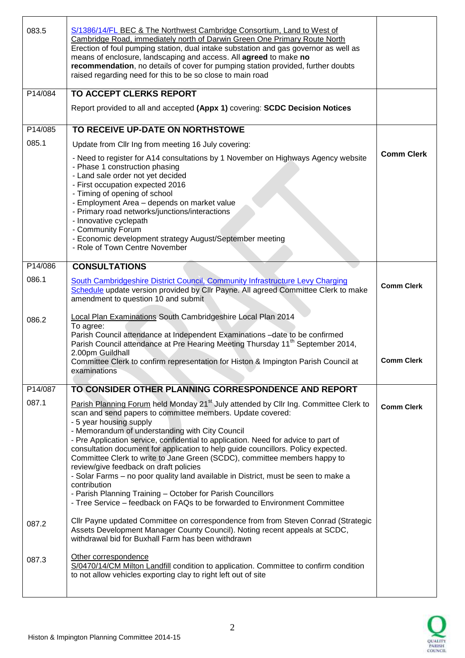| 083.5   | S/1386/14/FL BEC & The Northwest Cambridge Consortium, Land to West of<br>Cambridge Road, immediately north of Darwin Green One Primary Route North<br>Erection of foul pumping station, dual intake substation and gas governor as well as<br>means of enclosure, landscaping and access. All agreed to make no<br>recommendation, no details of cover for pumping station provided, further doubts<br>raised regarding need for this to be so close to main road                                                                                                                                                                                                                                                                                                                                |                   |
|---------|---------------------------------------------------------------------------------------------------------------------------------------------------------------------------------------------------------------------------------------------------------------------------------------------------------------------------------------------------------------------------------------------------------------------------------------------------------------------------------------------------------------------------------------------------------------------------------------------------------------------------------------------------------------------------------------------------------------------------------------------------------------------------------------------------|-------------------|
| P14/084 | TO ACCEPT CLERKS REPORT                                                                                                                                                                                                                                                                                                                                                                                                                                                                                                                                                                                                                                                                                                                                                                           |                   |
|         | Report provided to all and accepted (Appx 1) covering: SCDC Decision Notices                                                                                                                                                                                                                                                                                                                                                                                                                                                                                                                                                                                                                                                                                                                      |                   |
| P14/085 | TO RECEIVE UP-DATE ON NORTHSTOWE                                                                                                                                                                                                                                                                                                                                                                                                                                                                                                                                                                                                                                                                                                                                                                  |                   |
| 085.1   | Update from Cllr Ing from meeting 16 July covering:                                                                                                                                                                                                                                                                                                                                                                                                                                                                                                                                                                                                                                                                                                                                               |                   |
|         | - Need to register for A14 consultations by 1 November on Highways Agency website<br>- Phase 1 construction phasing<br>- Land sale order not yet decided<br>- First occupation expected 2016<br>- Timing of opening of school<br>- Employment Area - depends on market value<br>- Primary road networks/junctions/interactions<br>- Innovative cyclepath<br>- Community Forum<br>- Economic development strategy August/September meeting<br>- Role of Town Centre November                                                                                                                                                                                                                                                                                                                       | <b>Comm Clerk</b> |
| P14/086 | <b>CONSULTATIONS</b>                                                                                                                                                                                                                                                                                                                                                                                                                                                                                                                                                                                                                                                                                                                                                                              |                   |
| 086.1   | South Cambridgeshire District Council, Community Infrastructure Levy Charging<br>Schedule update version provided by Cllr Payne. All agreed Committee Clerk to make<br>amendment to question 10 and submit                                                                                                                                                                                                                                                                                                                                                                                                                                                                                                                                                                                        | <b>Comm Clerk</b> |
| 086.2   | Local Plan Examinations South Cambridgeshire Local Plan 2014<br>To agree:<br>Parish Council attendance at Independent Examinations -date to be confirmed<br>Parish Council attendance at Pre Hearing Meeting Thursday 11 <sup>th</sup> September 2014,<br>2.00pm Guildhall<br>Committee Clerk to confirm representation for Histon & Impington Parish Council at<br>examinations                                                                                                                                                                                                                                                                                                                                                                                                                  | <b>Comm Clerk</b> |
| P14/087 | TO CONSIDER OTHER PLANNING CORRESPONDENCE AND REPORT                                                                                                                                                                                                                                                                                                                                                                                                                                                                                                                                                                                                                                                                                                                                              |                   |
| 087.1   | Parish Planning Forum held Monday 21 <sup>st</sup> July attended by Cllr Ing. Committee Clerk to<br>scan and send papers to committee members. Update covered:<br>- 5 year housing supply<br>- Memorandum of understanding with City Council<br>- Pre Application service, confidential to application. Need for advice to part of<br>consultation document for application to help guide councillors. Policy expected.<br>Committee Clerk to write to Jane Green (SCDC), committee members happy to<br>review/give feedback on draft policies<br>- Solar Farms - no poor quality land available in District, must be seen to make a<br>contribution<br>- Parish Planning Training - October for Parish Councillors<br>- Tree Service – feedback on FAQs to be forwarded to Environment Committee | <b>Comm Clerk</b> |
| 087.2   | Cllr Payne updated Committee on correspondence from from Steven Conrad (Strategic<br>Assets Development Manager County Council). Noting recent appeals at SCDC,<br>withdrawal bid for Buxhall Farm has been withdrawn                                                                                                                                                                                                                                                                                                                                                                                                                                                                                                                                                                             |                   |
| 087.3   | Other correspondence<br>S/0470/14/CM Milton Landfill condition to application. Committee to confirm condition<br>to not allow vehicles exporting clay to right left out of site                                                                                                                                                                                                                                                                                                                                                                                                                                                                                                                                                                                                                   |                   |